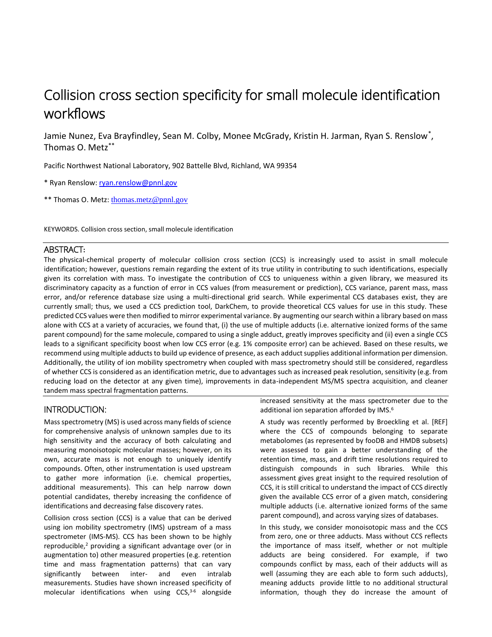# Collision cross section specificity for small molecule identification workflows

Jamie Nunez, Eva Brayfindley, Sean M. Colby, Monee McGrady, Kristin H. Jarman, Ryan S. Renslow\* , Thomas O. Metz\*\*

Pacific Northwest National Laboratory, 902 Battelle Blvd, Richland, WA 99354

\* Ryan Renslow[: ryan.renslow@pnnl.gov](mailto:ryan.renslow@pnnl.gov)

\*\* Thomas O. Metz: [thomas.metz@pnnl.gov](mailto:thomas.metz@pnnl.gov)

KEYWORDS. Collision cross section, small molecule identification

#### ABSTRACT**:**

The physical-chemical property of molecular collision cross section (CCS) is increasingly used to assist in small molecule identification; however, questions remain regarding the extent of its true utility in contributing to such identifications, especially given its correlation with mass. To investigate the contribution of CCS to uniqueness within a given library, we measured its discriminatory capacity as a function of error in CCS values (from measurement or prediction), CCS variance, parent mass, mass error, and/or reference database size using a multi-directional grid search. While experimental CCS databases exist, they are currently small; thus, we used a CCS prediction tool, DarkChem, to provide theoretical CCS values for use in this study. These predicted CCS values were then modified to mirror experimental variance. By augmenting our search within a library based on mass alone with CCS at a variety of accuracies, we found that, (i) the use of multiple adducts (i.e. alternative ionized forms of the same parent compound) for the same molecule, compared to using a single adduct, greatly improves specificity and (ii) even a single CCS leads to a significant specificity boost when low CCS error (e.g. 1% composite error) can be achieved. Based on these results, we recommend using multiple adducts to build up evidence of presence, as each adduct supplies additional information per dimension. Additionally, the utility of ion mobility spectrometry when coupled with mass spectrometry should still be considered, regardless of whether CCS is considered as an identification metric, due to advantages such as increased peak resolution, sensitivity (e.g. from reducing load on the detector at any given time), improvements in data-independent MS/MS spectra acquisition, and cleaner tandem mass spectral fragmentation patterns.

## INTRODUCTION:

Mass spectrometry (MS) is used across many fields of science for comprehensive analysis of unknown samples due to its high sensitivity and the accuracy of both calculating and measuring monoisotopic molecular masses; however, on its own, accurate mass is not enough to uniquely identify compounds. Often, other instrumentation is used upstream to gather more information (i.e. chemical properties, additional measurements). This can help narrow down potential candidates, thereby increasing the confidence of identifications and decreasing false discovery rates.

Collision cross section (CCS) is a value that can be derived using ion mobility spectrometry (IMS) upstream of a mass spectrometer (IMS-MS). CCS has been shown to be highly reproducible,<sup>2</sup> providing a significant advantage over (or in augmentation to) other measured properties (e.g. retention time and mass fragmentation patterns) that can vary significantly between inter- and even intralab measurements. Studies have shown increased specificity of molecular identifications when using CCS, 3-6 alongside increased sensitivity at the mass spectrometer due to the additional ion separation afforded by IMS.<sup>6</sup>

A study was recently performed by Broeckling et al. [REF] where the CCS of compounds belonging to separate metabolomes (as represented by fooDB and HMDB subsets) were assessed to gain a better understanding of the retention time, mass, and drift time resolutions required to distinguish compounds in such libraries. While this assessment gives great insight to the required resolution of CCS, it is still critical to understand the impact of CCS directly given the available CCS error of a given match, considering multiple adducts (i.e. alternative ionized forms of the same parent compound), and across varying sizes of databases.

In this study, we consider monoisotopic mass and the CCS from zero, one or three adducts. Mass without CCS reflects the importance of mass itself, whether or not multiple adducts are being considered. For example, if two compounds conflict by mass, each of their adducts will as well (assuming they are each able to form such adducts), meaning adducts provide little to no additional structural information, though they do increase the amount of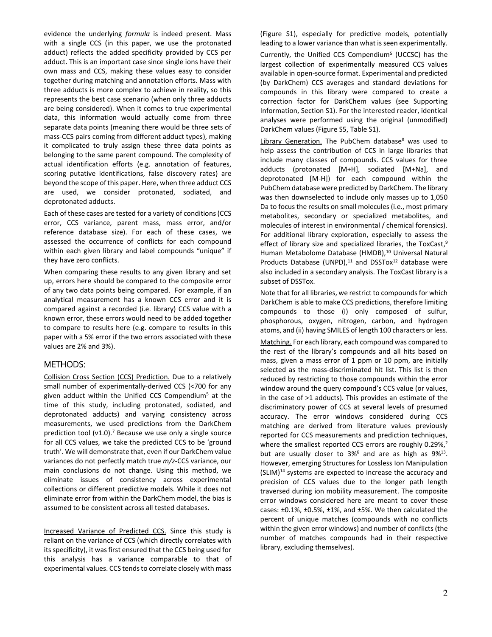evidence the underlying *formula* is indeed present. Mass with a single CCS (in this paper, we use the protonated adduct) reflects the added specificity provided by CCS per adduct. This is an important case since single ions have their own mass and CCS, making these values easy to consider together during matching and annotation efforts. Mass with three adducts is more complex to achieve in reality, so this represents the best case scenario (when only three adducts are being considered). When it comes to true experimental data, this information would actually come from three separate data points (meaning there would be three sets of mass-CCS pairs coming from different adduct types), making it complicated to truly assign these three data points as belonging to the same parent compound. The complexity of actual identification efforts (e.g. annotation of features, scoring putative identifications, false discovery rates) are beyond the scope of this paper. Here, when three adduct CCS are used, we consider protonated, sodiated, and deprotonated adducts.

Each of these cases are tested for a variety of conditions (CCS error, CCS variance, parent mass, mass error, and/or reference database size). For each of these cases, we assessed the occurrence of conflicts for each compound within each given library and label compounds "unique" if they have zero conflicts.

When comparing these results to any given library and set up, errors here should be compared to the composite error of any two data points being compared. For example, if an analytical measurement has a known CCS error and it is compared against a recorded (i.e. library) CCS value with a known error, these errors would need to be added together to compare to results here (e.g. compare to results in this paper with a 5% error if the two errors associated with these values are 2% and 3%).

## METHODS:

Collision Cross Section (CCS) Prediction. Due to a relatively small number of experimentally-derived CCS (<700 for any given adduct within the Unified CCS Compendium<sup>5</sup> at the time of this study, including protonated, sodiated, and deprotonated adducts) and varying consistency across measurements, we used predictions from the DarkChem prediction tool ( $v1.0$ ).<sup>7</sup> Because we use only a single source for all CCS values, we take the predicted CCS to be 'ground truth'. We will demonstrate that, even if our DarkChem value variances do not perfectly match true *m/z*-CCS variance, our main conclusions do not change. Using this method, we eliminate issues of consistency across experimental collections or different predictive models. While it does not eliminate error from within the DarkChem model, the bias is assumed to be consistent across all tested databases.

Increased Variance of Predicted CCS. Since this study is reliant on the variance of CCS (which directly correlates with its specificity), it was first ensured that the CCS being used for this analysis has a variance comparable to that of experimental values. CCS tends to correlate closely with mass

(Figure S1), especially for predictive models, potentially leading to a lower variance than what is seen experimentally. Currently, the Unified CCS Compendium<sup>5</sup> (UCCSC) has the largest collection of experimentally measured CCS values available in open-source format. Experimental and predicted (by DarkChem) CCS averages and standard deviations for compounds in this library were compared to create a correction factor for DarkChem values (see Supporting Information, Section S1). For the interested reader, identical analyses were performed using the original (unmodified) DarkChem values (Figure S5, Table S1).

Library Generation. The PubChem database<sup>8</sup> was used to help assess the contribution of CCS in large libraries that include many classes of compounds. CCS values for three adducts (protonated [M+H], sodiated [M+Na], and deprotonated [M-H]) for each compound within the PubChem database were predicted by DarkChem. The library was then downselected to include only masses up to 1,050 Da to focus the results on small molecules (i.e., most primary metabolites, secondary or specialized metabolites, and molecules of interest in environmental / chemical forensics). For additional library exploration, especially to assess the effect of library size and specialized libraries, the ToxCast,<sup>9</sup> Human Metabolome Database (HMDB),<sup>10</sup> Universal Natural Products Database (UNPD), $11$  and DSSTox<sup>12</sup> database were also included in a secondary analysis. The ToxCast library is a subset of DSSTox.

Note that for all libraries, we restrict to compounds for which DarkChem is able to make CCS predictions, therefore limiting compounds to those (i) only composed of sulfur, phosphorous, oxygen, nitrogen, carbon, and hydrogen atoms, and (ii) having SMILES of length 100 characters or less. Matching. For each library, each compound was compared to the rest of the library's compounds and all hits based on mass, given a mass error of 1 ppm or 10 ppm, are initially selected as the mass-discriminated hit list. This list is then reduced by restricting to those compounds within the error window around the query compound's CCS value (or values, in the case of >1 adducts). This provides an estimate of the discriminatory power of CCS at several levels of presumed accuracy. The error windows considered during CCS matching are derived from literature values previously reported for CCS measurements and prediction techniques, where the smallest reported CCS errors are roughly 0.29%,<sup>2</sup> but are usually closer to  $3\%^6$  and are as high as  $9\%^{13}$ . However, emerging Structures for Lossless Ion Manipulation  $(SLIM)^{14}$  systems are expected to increase the accuracy and precision of CCS values due to the longer path length traversed during ion mobility measurement. The composite error windows considered here are meant to cover these cases: ±0.1%, ±0.5%, ±1%, and ±5%. We then calculated the percent of unique matches (compounds with no conflicts within the given error windows) and number of conflicts (the number of matches compounds had in their respective library, excluding themselves).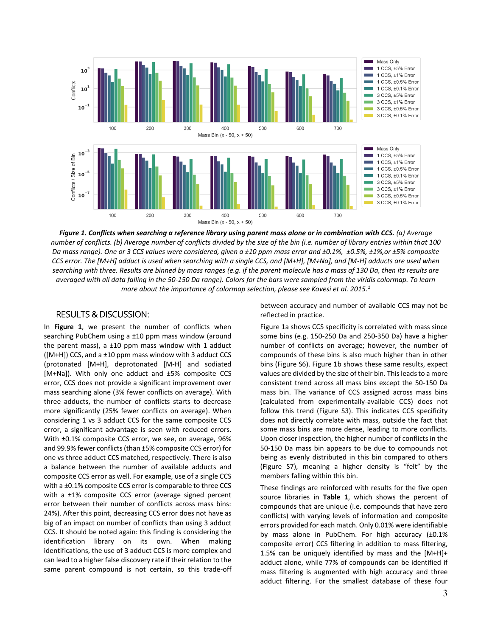

*Figure 1. Conflicts when searching a reference library using parent mass alone or in combination with CCS. (a) Average number of conflicts. (b) Average number of conflicts divided by the size of the bin (i.e. number of library entries within that 100 Da mass range). One or 3 CCS values were considered, given a ±10 ppm mass error and ±0.1%, ±0.5%, ±1%,or ±5% composite CCS error. The [M+H] adduct is used when searching with a single CCS, and [M+H], [M+Na], and [M-H] adducts are used when searching with three. Results are binned by mass ranges (e.g. if the parent molecule has a mass of 130 Da, then its results are averaged with all data falling in the 50-150 Da range). Colors for the bars were sampled from the viridis colormap. To learn more about the importance of colormap selection, please see Kovesi et al. 2015.1*

## RESULTS & DISCUSSION:

In **Figure 1**, we present the number of conflicts when searching PubChem using a ±10 ppm mass window (around the parent mass), a  $\pm 10$  ppm mass window with 1 adduct  $([M+H])$  CCS, and a  $\pm$ 10 ppm mass window with 3 adduct CCS (protonated [M+H], deprotonated [M-H] and sodiated [M+Na]). With only one adduct and ±5% composite CCS error, CCS does not provide a significant improvement over mass searching alone (3% fewer conflicts on average). With three adducts, the number of conflicts starts to decrease more significantly (25% fewer conflicts on average). When considering 1 vs 3 adduct CCS for the same composite CCS error, a significant advantage is seen with reduced errors. With  $\pm$ 0.1% composite CCS error, we see, on average, 96% and 99.9% fewer conflicts(than ±5% composite CCS error) for one vs three adduct CCS matched, respectively. There is also a balance between the number of available adducts and composite CCS error as well. For example, use of a single CCS with a ±0.1% composite CCS error is comparable to three CCS with a ±1% composite CCS error (average signed percent error between their number of conflicts across mass bins: 24%). After this point, decreasing CCS error does not have as big of an impact on number of conflicts than using 3 adduct CCS. It should be noted again: this finding is considering the identification library on its own. When making identifications, the use of 3 adduct CCS is more complex and can lead to a higher false discovery rate if their relation to the same parent compound is not certain, so this trade-off between accuracy and number of available CCS may not be reflected in practice.

Figure 1a shows CCS specificity is correlated with mass since some bins (e.g. 150-250 Da and 250-350 Da) have a higher number of conflicts on average; however, the number of compounds of these bins is also much higher than in other bins (Figure S6). Figure 1b shows these same results, expect values are divided by the size of their bin. This leads to a more consistent trend across all mass bins except the 50-150 Da mass bin. The variance of CCS assigned across mass bins (calculated from experimentally-available CCS) does not follow this trend (Figure S3). This indicates CCS specificity does not directly correlate with mass, outside the fact that some mass bins are more dense, leading to more conflicts. Upon closer inspection, the higher number of conflicts in the 50-150 Da mass bin appears to be due to compounds not being as evenly distributed in this bin compared to others (Figure S7), meaning a higher density is "felt" by the members falling within this bin.

These findings are reinforced with results for the five open source libraries in **Table 1**, which shows the percent of compounds that are unique (i.e. compounds that have zero conflicts) with varying levels of information and composite errors provided for each match. Only 0.01% were identifiable by mass alone in PubChem. For high accuracy (±0.1% composite error) CCS filtering in addition to mass filtering, 1.5% can be uniquely identified by mass and the [M+H]+ adduct alone, while 77% of compounds can be identified if mass filtering is augmented with high accuracy and three adduct filtering. For the smallest database of these four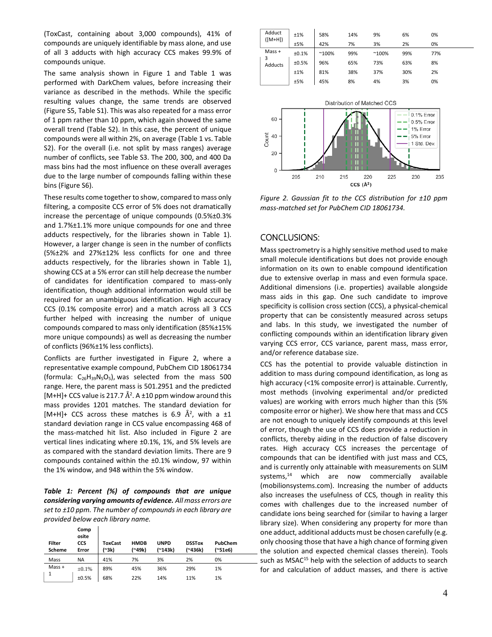(ToxCast, containing about 3,000 compounds), 41% of compounds are uniquely identifiable by mass alone, and use of all 3 adducts with high accuracy CCS makes 99.9% of compounds unique.

The same analysis shown in Figure 1 and Table 1 was performed with DarkChem values, before increasing their variance as described in the methods. While the specific resulting values change, the same trends are observed (Figure S5, Table S1). This was also repeated for a mass error of 1 ppm rather than 10 ppm, which again showed the same overall trend (Table S2). In this case, the percent of unique compounds were all within 2%, on average (Table 1 vs. Table S2). For the overall (i.e. not split by mass ranges) average number of conflicts, see Table S3. The 200, 300, and 400 Da mass bins had the most influence on these overall averages due to the large number of compounds falling within these bins (Figure S6).

These results come together to show, compared to mass only filtering, a composite CCS error of 5% does not dramatically increase the percentage of unique compounds (0.5%±0.3% and 1.7%±1.1% more unique compounds for one and three adducts respectively, for the libraries shown in Table 1). However, a larger change is seen in the number of conflicts (5%±2% and 27%±12% less conflicts for one and three adducts respectively, for the libraries shown in Table 1), showing CCS at a 5% error can still help decrease the number of candidates for identification compared to mass-only identification, though additional information would still be required for an unambiguous identification. High accuracy CCS (0.1% composite error) and a match across all 3 CCS further helped with increasing the number of unique compounds compared to mass only identification (85%±15% more unique compounds) as well as decreasing the number of conflicts (96%±1% less conflicts).

Conflicts are further investigated in Figure 2, where a representative example compound, PubChem CID 18061734 (formula:  $C_{26}H_{39}N_5O_5$ ), was selected from the mass 500 range. Here, the parent mass is 501.2951 and the predicted [M+H]+ CCS value is 217.7  $\AA^2$ . A  $\pm$ 10 ppm window around this mass provides 1201 matches. The standard deviation for [M+H]+ CCS across these matches is 6.9  $\AA^2$ , with a  $\pm 1$ standard deviation range in CCS value encompassing 468 of the mass-matched hit list. Also included in Figure 2 are vertical lines indicating where ±0.1%, 1%, and 5% levels are as compared with the standard deviation limits. There are 9 compounds contained within the ±0.1% window, 97 within the 1% window, and 948 within the 5% window.

*Table 1: Percent (%) of compounds that are unique considering varying amounts of evidence. All mass errors are set to ±10 ppm. The number of compounds in each library are provided below each library name.*

| <b>Filter</b><br>Scheme | Comp<br>osite<br><b>CCS</b><br>Error | <b>ToxCast</b><br>(~3k) | <b>HMDB</b><br>(~49k) | <b>UNPD</b><br>(~143k) | <b>DSSTox</b><br>(~436k) | PubChem<br>(~51e6) |  |
|-------------------------|--------------------------------------|-------------------------|-----------------------|------------------------|--------------------------|--------------------|--|
| Mass                    | <b>NA</b>                            | 41%                     | 7%                    | 3%                     | 2%                       | 0%                 |  |
| $Mass +$                | $\pm 0.1\%$                          | 89%                     | 45%                   | 36%                    | 29%                      | 1%                 |  |
|                         | ±0.5%                                | 68%                     | 22%                   | 14%                    | 11%                      | 1%                 |  |

| Adduct<br>$([M+H])$ | ±1%   | 58%            | 14% | 9%             | 6%  | 0%  |  |
|---------------------|-------|----------------|-----|----------------|-----|-----|--|
|                     | ±5%   | 42%            | 7%  | 3%             | 2%  | 0%  |  |
| $Mass +$            | ±0.1% | $^{\sim}100\%$ | 99% | $^{\sim}100\%$ | 99% | 77% |  |
| Adducts             | ±0.5% | 96%            | 65% | 73%            | 63% | 8%  |  |
|                     | ±1%   | 81%            | 38% | 37%            | 30% | 2%  |  |
|                     | ±5%   | 45%            | 8%  | 4%             | 3%  | 0%  |  |



*Figure 2. Gaussian fit to the CCS distribution for ±10 ppm mass-matched set for PubChem CID 18061734.*

## CONCLUSIONS:

Mass spectrometry is a highly sensitive method used to make small molecule identifications but does not provide enough information on its own to enable compound identification due to extensive overlap in mass and even formula space. Additional dimensions (i.e. properties) available alongside mass aids in this gap. One such candidate to improve specificity is collision cross section (CCS), a physical-chemical property that can be consistently measured across setups and labs. In this study, we investigated the number of conflicting compounds within an identification library given varying CCS error, CCS variance, parent mass, mass error, and/or reference database size.

CCS has the potential to provide valuable distinction in addition to mass during compound identification, as long as high accuracy (<1% composite error) is attainable. Currently, most methods (involving experimental and/or predicted values) are working with errors much higher than this (5% composite error or higher). We show here that mass and CCS are not enough to uniquely identify compounds at this level of error, though the use of CCS does provide a reduction in conflicts, thereby aiding in the reduction of false discovery rates. High accuracy CCS increases the percentage of compounds that can be identified with just mass and CCS, and is currently only attainable with measurements on SLIM systems,<sup>14</sup> which are now commercially available (mobilionsystems.com). Increasing the number of adducts also increases the usefulness of CCS, though in reality this comes with challenges due to the increased number of candidate ions being searched for (similar to having a larger library size). When considering any property for more than one adduct, additional adducts must be chosen carefully (e.g. only choosing those that have a high chance of forming given the solution and expected chemical classes therein). Tools such as MSAC<sup>15</sup> help with the selection of adducts to search for and calculation of adduct masses, and there is active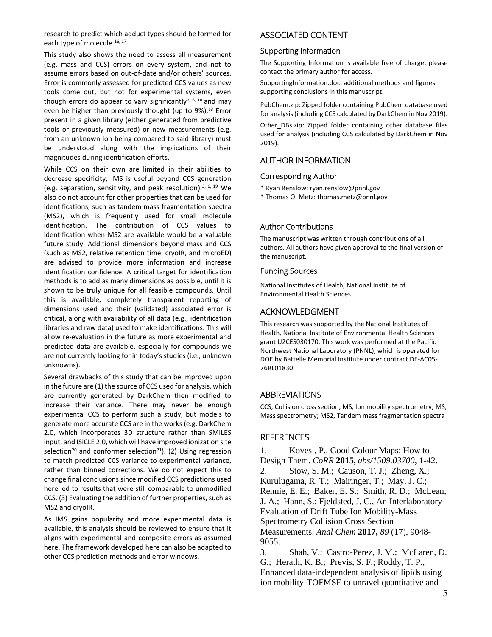research to predict which adduct types should be formed for each type of molecule.<sup>16, 17</sup>

This study also shows the need to assess all measurement (e.g. mass and CCS) errors on every system, and not to assume errors based on out-of-date and/or others' sources. Error is commonly assessed for predicted CCS values as new tools come out, but not for experimental systems, even though errors do appear to vary significantly<sup>2, 6, 18</sup> and may even be higher than previously thought (up to 9%). <sup>13</sup> Error present in a given library (either generated from predictive tools or previously measured) or new measurements (e.g. from an unknown ion being compared to said library) must be understood along with the implications of their magnitudes during identification efforts.

While CCS on their own are limited in their abilities to decrease specificity, IMS is useful beyond CCS generation (e.g. separation, sensitivity, and peak resolution).<sup>3, 6, 19</sup> We also do not account for other properties that can be used for identifications, such as tandem mass fragmentation spectra (MS2), which is frequently used for small molecule identification. The contribution of CCS values to identification when MS2 are available would be a valuable future study. Additional dimensions beyond mass and CCS (such as MS2, relative retention time, cryoIR, and microED) are advised to provide more information and increase identification confidence. A critical target for identification methods is to add as many dimensions as possible, until it is shown to be truly unique for all feasible compounds. Until this is available, completely transparent reporting of dimensions used and their (validated) associated error is critical, along with availability of all data (e.g., identification libraries and raw data) used to make identifications. This will allow re-evaluation in the future as more experimental and predicted data are available, especially for compounds we are not currently looking for in today's studies (i.e., unknown unknowns).

Several drawbacks of this study that can be improved upon in the future are (1) the source of CCS used for analysis, which are currently generated by DarkChem then modified to increase their variance. There may never be enough experimental CCS to perform such a study, but models to generate more accurate CCS are in the works (e.g. DarkChem 2.0, which incorporates 3D structure rather than SMILES input, and ISiCLE 2.0, which will have improved ionization site selection<sup>20</sup> and conformer selection<sup>21</sup>). (2) Using regression to match predicted CCS variance to experimental variance, rather than binned corrections. We do not expect this to change final conclusions since modified CCS predictions used here led to results that were still comparable to unmodified CCS. (3) Evaluating the addition of further properties, such as MS2 and cryoIR.

As IMS gains popularity and more experimental data is available, this analysis should be reviewed to ensure that it aligns with experimental and composite errors as assumed here. The framework developed here can also be adapted to other CCS prediction methods and error windows.

# ASSOCIATED CONTENT

#### Supporting Information

The Supporting Information is available free of charge, please contact the primary author for access.

SupportingInformation.doc: additional methods and figures supporting conclusions in this manuscript.

PubChem.zip: Zipped folder containing PubChem database used for analysis (including CCS calculated by DarkChem in Nov 2019).

Other DBs.zip: Zipped folder containing other database files used for analysis (including CCS calculated by DarkChem in Nov 2019).

# AUTHOR INFORMATION

## Corresponding Author

- \* Ryan Renslow: ryan.renslow@pnnl.gov
- \* Thomas O. Metz: [thomas.metz@pnnl.gov](mailto:thomas.metz@pnnl.gov)

## Author Contributions

The manuscript was written through contributions of all authors. All authors have given approval to the final version of the manuscript.

#### Funding Sources

National Institutes of Health, National Institute of Environmental Health Sciences

# ACKNOWLEDGMENT

This research was supported by the National Institutes of Health, National Institute of Environmental Health Sciences grant U2CES030170. This work was performed at the Pacific Northwest National Laboratory (PNNL), which is operated for DOE by Battelle Memorial Institute under contract DE-AC05- 76RL01830

## ABBREVIATIONS

CCS, Collision cross section; MS, Ion mobility spectrometry; MS, Mass spectrometry; MS2, Tandem mass fragmentation spectra

## **REFERENCES**

1. Kovesi, P., Good Colour Maps: How to Design Them. *CoRR* **2015,** *abs/1509.03700*, 1-42. 2. Stow, S. M.; Causon, T. J.; Zheng, X.; Kurulugama, R. T.; Mairinger, T.; May, J. C.; Rennie, E. E.; Baker, E. S.; Smith, R. D.; McLean, J. A.; Hann, S.; Fjeldsted, J. C., An Interlaboratory Evaluation of Drift Tube Ion Mobility-Mass Spectrometry Collision Cross Section Measurements. *Anal Chem* **2017,** *89* (17), 9048- 9055.

3. Shah, V.; Castro-Perez, J. M.; McLaren, D. G.; Herath, K. B.; Previs, S. F.; Roddy, T. P., Enhanced data-independent analysis of lipids using ion mobility-TOFMSE to unravel quantitative and